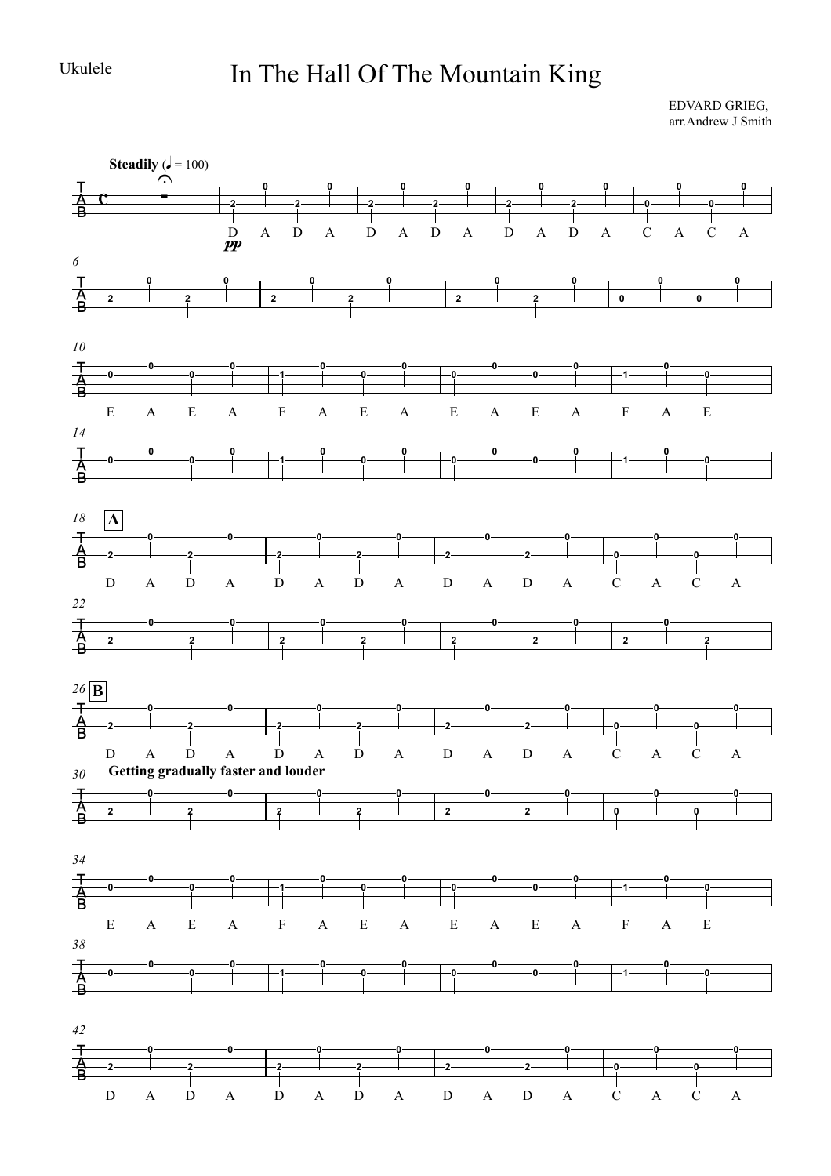Ukulele

## In The Hall Of The Mountain King

EDVARD GRIEG, arr.Andrew J Smith